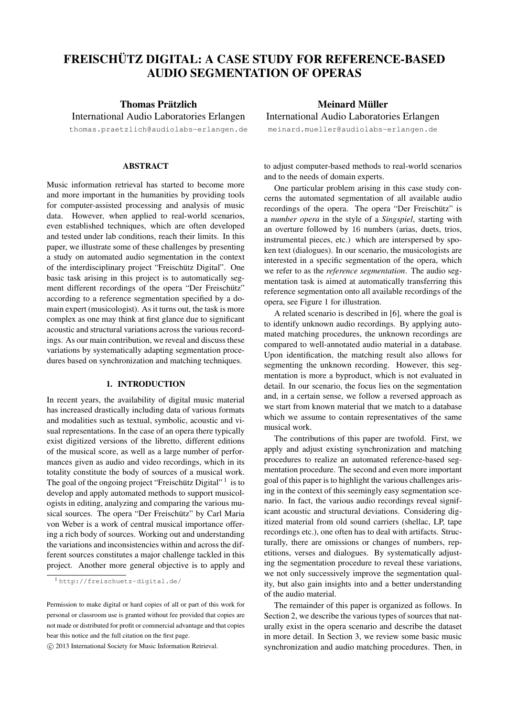# FREISCHÜTZ DIGITAL: A CASE STUDY FOR REFERENCE-BASED AUDIO SEGMENTATION OF OPERAS

Thomas Prätzlich International Audio Laboratories Erlangen

thomas.praetzlich@audiolabs-erlangen.de

#### ABSTRACT

Music information retrieval has started to become more and more important in the humanities by providing tools for computer-assisted processing and analysis of music data. However, when applied to real-world scenarios, even established techniques, which are often developed and tested under lab conditions, reach their limits. In this paper, we illustrate some of these challenges by presenting a study on automated audio segmentation in the context of the interdisciplinary project "Freischütz Digital". One basic task arising in this project is to automatically segment different recordings of the opera "Der Freischütz" according to a reference segmentation specified by a domain expert (musicologist). As it turns out, the task is more complex as one may think at first glance due to significant acoustic and structural variations across the various recordings. As our main contribution, we reveal and discuss these variations by systematically adapting segmentation procedures based on synchronization and matching techniques.

#### 1. INTRODUCTION

In recent years, the availability of digital music material has increased drastically including data of various formats and modalities such as textual, symbolic, acoustic and visual representations. In the case of an opera there typically exist digitized versions of the libretto, different editions of the musical score, as well as a large number of performances given as audio and video recordings, which in its totality constitute the body of sources of a musical work. The goal of the ongoing project "Freischütz Digital"<sup>1</sup> is to develop and apply automated methods to support musicologists in editing, analyzing and comparing the various musical sources. The opera "Der Freischütz" by Carl Maria von Weber is a work of central musical importance offering a rich body of sources. Working out and understanding the variations and inconsistencies within and across the different sources constitutes a major challenge tackled in this project. Another more general objective is to apply and

## Meinard Müller International Audio Laboratories Erlangen

meinard.mueller@audiolabs-erlangen.de

to adjust computer-based methods to real-world scenarios and to the needs of domain experts.

One particular problem arising in this case study concerns the automated segmentation of all available audio recordings of the opera. The opera "Der Freischütz" is a *number opera* in the style of a *Singspiel*, starting with an overture followed by 16 numbers (arias, duets, trios, instrumental pieces, etc.) which are interspersed by spoken text (dialogues). In our scenario, the musicologists are interested in a specific segmentation of the opera, which we refer to as the *reference segmentation*. The audio segmentation task is aimed at automatically transferring this reference segmentation onto all available recordings of the opera, see Figure 1 for illustration.

A related scenario is described in [6], where the goal is to identify unknown audio recordings. By applying automated matching procedures, the unknown recordings are compared to well-annotated audio material in a database. Upon identification, the matching result also allows for segmenting the unknown recording. However, this segmentation is more a byproduct, which is not evaluated in detail. In our scenario, the focus lies on the segmentation and, in a certain sense, we follow a reversed approach as we start from known material that we match to a database which we assume to contain representatives of the same musical work.

The contributions of this paper are twofold. First, we apply and adjust existing synchronization and matching procedures to realize an automated reference-based segmentation procedure. The second and even more important goal of this paper is to highlight the various challenges arising in the context of this seemingly easy segmentation scenario. In fact, the various audio recordings reveal significant acoustic and structural deviations. Considering digitized material from old sound carriers (shellac, LP, tape recordings etc.), one often has to deal with artifacts. Structurally, there are omissions or changes of numbers, repetitions, verses and dialogues. By systematically adjusting the segmentation procedure to reveal these variations, we not only successively improve the segmentation quality, but also gain insights into and a better understanding of the audio material.

The remainder of this paper is organized as follows. In Section 2, we describe the various types of sources that naturally exist in the opera scenario and describe the dataset in more detail. In Section 3, we review some basic music synchronization and audio matching procedures. Then, in

<sup>1</sup> http://freischuetz-digital.de/

Permission to make digital or hard copies of all or part of this work for personal or classroom use is granted without fee provided that copies are not made or distributed for profit or commercial advantage and that copies bear this notice and the full citation on the first page.

c 2013 International Society for Music Information Retrieval.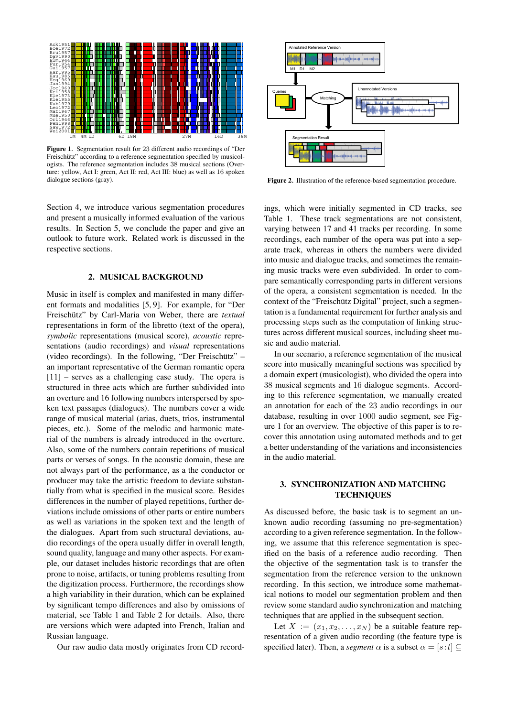

Figure 1. Segmentation result for 23 different audio recordings of "Der Freischütz" according to a reference segmentation specified by musicologists. The reference segmentation includes 38 musical sections (Overture: yellow, Act I: green, Act II: red, Act III: blue) as well as 16 spoken dialogue sections (gray).

Section 4, we introduce various segmentation procedures and present a musically informed evaluation of the various results. In Section 5, we conclude the paper and give an outlook to future work. Related work is discussed in the respective sections.

#### 2. MUSICAL BACKGROUND

Music in itself is complex and manifested in many different formats and modalities [5, 9]. For example, for "Der Freischütz" by Carl-Maria von Weber, there are *textual* representations in form of the libretto (text of the opera), *symbolic* representations (musical score), *acoustic* representations (audio recordings) and *visual* representations (video recordings). In the following, "Der Freischütz" – an important representative of the German romantic opera [11] – serves as a challenging case study. The opera is structured in three acts which are further subdivided into an overture and 16 following numbers interspersed by spoken text passages (dialogues). The numbers cover a wide range of musical material (arias, duets, trios, instrumental pieces, etc.). Some of the melodic and harmonic material of the numbers is already introduced in the overture. Also, some of the numbers contain repetitions of musical parts or verses of songs. In the acoustic domain, these are not always part of the performance, as a the conductor or producer may take the artistic freedom to deviate substantially from what is specified in the musical score. Besides differences in the number of played repetitions, further deviations include omissions of other parts or entire numbers as well as variations in the spoken text and the length of the dialogues. Apart from such structural deviations, audio recordings of the opera usually differ in overall length, sound quality, language and many other aspects. For example, our dataset includes historic recordings that are often prone to noise, artifacts, or tuning problems resulting from the digitization process. Furthermore, the recordings show a high variability in their duration, which can be explained by significant tempo differences and also by omissions of material, see Table 1 and Table 2 for details. Also, there are versions which were adapted into French, Italian and Russian language.

Our raw audio data mostly originates from CD record-



Figure 2. Illustration of the reference-based segmentation procedure.

ings, which were initially segmented in CD tracks, see Table 1. These track segmentations are not consistent, varying between 17 and 41 tracks per recording. In some recordings, each number of the opera was put into a separate track, whereas in others the numbers were divided into music and dialogue tracks, and sometimes the remaining music tracks were even subdivided. In order to compare semantically corresponding parts in different versions of the opera, a consistent segmentation is needed. In the context of the "Freischütz Digital" project, such a segmentation is a fundamental requirement for further analysis and processing steps such as the computation of linking structures across different musical sources, including sheet music and audio material.

In our scenario, a reference segmentation of the musical score into musically meaningful sections was specified by a domain expert (musicologist), who divided the opera into 38 musical segments and 16 dialogue segments. According to this reference segmentation, we manually created an annotation for each of the 23 audio recordings in our database, resulting in over 1000 audio segment, see Figure 1 for an overview. The objective of this paper is to recover this annotation using automated methods and to get a better understanding of the variations and inconsistencies in the audio material.

#### 3. SYNCHRONIZATION AND MATCHING **TECHNIQUES**

As discussed before, the basic task is to segment an unknown audio recording (assuming no pre-segmentation) according to a given reference segmentation. In the following, we assume that this reference segmentation is specified on the basis of a reference audio recording. Then the objective of the segmentation task is to transfer the segmentation from the reference version to the unknown recording. In this section, we introduce some mathematical notions to model our segmentation problem and then review some standard audio synchronization and matching techniques that are applied in the subsequent section.

Let  $X := (x_1, x_2, \ldots, x_N)$  be a suitable feature representation of a given audio recording (the feature type is specified later). Then, a *segment*  $\alpha$  is a subset  $\alpha = [s:t] \subseteq$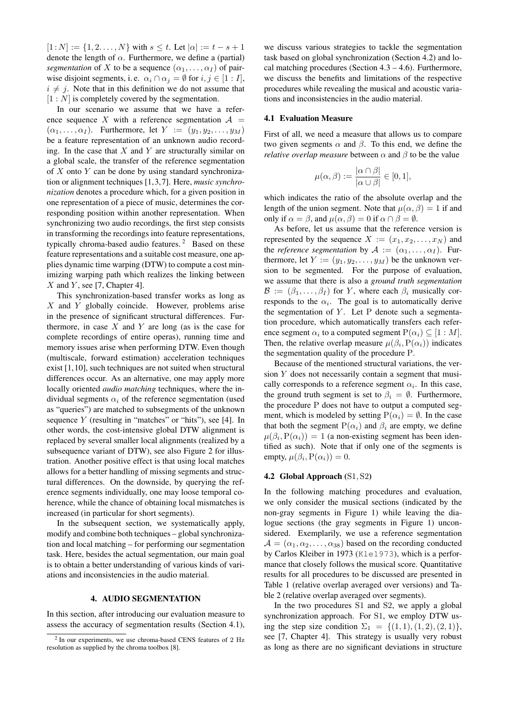$[1:N] := \{1, 2, \ldots, N\}$  with  $s \leq t$ . Let  $|\alpha| := t - s + 1$ denote the length of  $\alpha$ . Furthermore, we define a (partial) *segmentation* of X to be a sequence  $(\alpha_1, \dots, \alpha_I)$  of pairwise disjoint segments, i.e.  $\alpha_i \cap \alpha_j = \emptyset$  for  $i, j \in [1 : I]$ ,  $i \neq j$ . Note that in this definition we do not assume that  $[1 : N]$  is completely covered by the segmentation.

In our scenario we assume that we have a reference sequence X with a reference segmentation  $A =$  $(\alpha_1, \ldots, \alpha_I)$ . Furthermore, let  $Y := (y_1, y_2, \ldots, y_M)$ be a feature representation of an unknown audio recording. In the case that  $X$  and  $Y$  are structurally similar on a global scale, the transfer of the reference segmentation of  $X$  onto  $Y$  can be done by using standard synchronization or alignment techniques [1,3,7]. Here, *music synchronization* denotes a procedure which, for a given position in one representation of a piece of music, determines the corresponding position within another representation. When synchronizing two audio recordings, the first step consists in transforming the recordings into feature representations, typically chroma-based audio features.<sup>2</sup> Based on these feature representations and a suitable cost measure, one applies dynamic time warping (DTW) to compute a cost minimizing warping path which realizes the linking between  $X$  and  $Y$ , see [7, Chapter 4].

This synchronization-based transfer works as long as  $X$  and  $Y$  globally coincide. However, problems arise in the presence of significant structural differences. Furthermore, in case  $X$  and  $Y$  are long (as is the case for complete recordings of entire operas), running time and memory issues arise when performing DTW. Even though (multiscale, forward estimation) acceleration techniques exist [1,10], such techniques are not suited when structural differences occur. As an alternative, one may apply more locally oriented *audio matching* techniques, where the individual segments  $\alpha_i$  of the reference segmentation (used as "queries") are matched to subsegments of the unknown sequence  $Y$  (resulting in "matches" or "hits"), see [4]. In other words, the cost-intensive global DTW alignment is replaced by several smaller local alignments (realized by a subsequence variant of DTW), see also Figure 2 for illustration. Another positive effect is that using local matches allows for a better handling of missing segments and structural differences. On the downside, by querying the reference segments individually, one may loose temporal coherence, while the chance of obtaining local mismatches is increased (in particular for short segments).

In the subsequent section, we systematically apply, modify and combine both techniques – global synchronization and local matching – for performing our segmentation task. Here, besides the actual segmentation, our main goal is to obtain a better understanding of various kinds of variations and inconsistencies in the audio material.

#### 4. AUDIO SEGMENTATION

In this section, after introducing our evaluation measure to assess the accuracy of segmentation results (Section 4.1), we discuss various strategies to tackle the segmentation task based on global synchronization (Section 4.2) and local matching procedures (Section  $4.3 - 4.6$ ). Furthermore, we discuss the benefits and limitations of the respective procedures while revealing the musical and acoustic variations and inconsistencies in the audio material.

#### 4.1 Evaluation Measure

First of all, we need a measure that allows us to compare two given segments  $\alpha$  and  $\beta$ . To this end, we define the *relative overlap measure* between  $\alpha$  and  $\beta$  to be the value

$$
\mu(\alpha,\beta) := \frac{|\alpha \cap \beta|}{|\alpha \cup \beta|} \in [0,1],
$$

which indicates the ratio of the absolute overlap and the length of the union segment. Note that  $\mu(\alpha, \beta) = 1$  if and only if  $\alpha = \beta$ , and  $\mu(\alpha, \beta) = 0$  if  $\alpha \cap \beta = \emptyset$ .

As before, let us assume that the reference version is represented by the sequence  $X := (x_1, x_2, \dots, x_N)$  and the *reference segmentation* by  $A := (\alpha_1, \dots, \alpha_I)$ . Furthermore, let  $Y := (y_1, y_2, \dots, y_M)$  be the unknown version to be segmented. For the purpose of evaluation, we assume that there is also a *ground truth segmentation*  $\mathcal{B} := (\beta_1, \ldots, \beta_I)$  for Y, where each  $\beta_i$  musically corresponds to the  $\alpha_i$ . The goal is to automatically derive the segmentation of  $Y$ . Let P denote such a segmentation procedure, which automatically transfers each reference segment  $\alpha_i$  to a computed segment  $\mathrm{P}(\alpha_i) \subseteq [1:M].$ Then, the relative overlap measure  $\mu(\beta_i, P(\alpha_i))$  indicates the segmentation quality of the procedure P.

Because of the mentioned structural variations, the version Y does not necessarily contain a segment that musically corresponds to a reference segment  $\alpha_i$ . In this case, the ground truth segment is set to  $\beta_i = \emptyset$ . Furthermore, the procedure P does not have to output a computed segment, which is modeled by setting  $P(\alpha_i) = \emptyset$ . In the case that both the segment  $P(\alpha_i)$  and  $\beta_i$  are empty, we define  $\mu(\beta_i, P(\alpha_i)) = 1$  (a non-existing segment has been identified as such). Note that if only one of the segments is empty,  $\mu(\beta_i, P(\alpha_i)) = 0$ .

#### 4.2 Global Approach (S1, S2)

In the following matching procedures and evaluation, we only consider the musical sections (indicated by the non-gray segments in Figure 1) while leaving the dialogue sections (the gray segments in Figure 1) unconsidered. Exemplarily, we use a reference segmentation  $A = (\alpha_1, \alpha_2, \dots, \alpha_{38})$  based on the recording conducted by Carlos Kleiber in 1973 (Kle1973), which is a performance that closely follows the musical score. Quantitative results for all procedures to be discussed are presented in Table 1 (relative overlap averaged over versions) and Table 2 (relative overlap averaged over segments).

In the two procedures S1 and S2, we apply a global synchronization approach. For S1, we employ DTW using the step size condition  $\Sigma_1 = \{(1, 1), (1, 2), (2, 1)\},\$ see [7, Chapter 4]. This strategy is usually very robust as long as there are no significant deviations in structure

<sup>&</sup>lt;sup>2</sup> In our experiments, we use chroma-based CENS features of 2 Hz resolution as supplied by the chroma toolbox [8].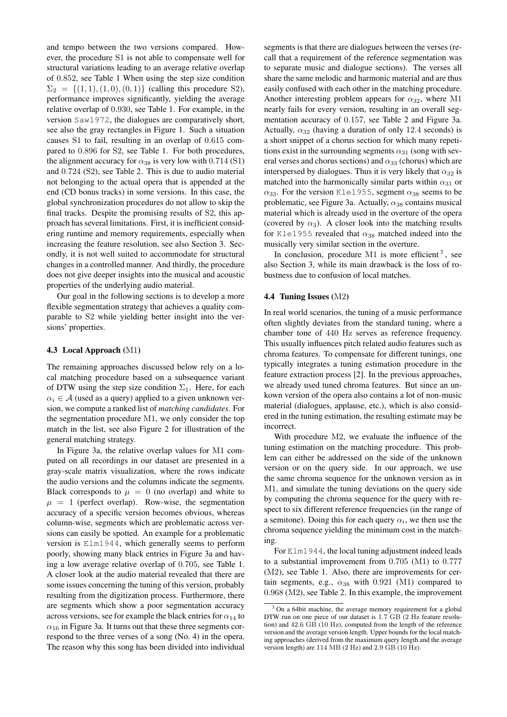and tempo between the two versions compared. However, the procedure S1 is not able to compensate well for structural variations leading to an average relative overlap of 0.852, see Table 1 When using the step size condition  $\Sigma_2 = \{(1, 1), (1, 0), (0, 1)\}\$  (calling this procedure S2), performance improves significantly, yielding the average relative overlap of 0.930, see Table 1. For example, in the version Saw1972, the dialogues are comparatively short, see also the gray rectangles in Figure 1. Such a situation causes S1 to fail, resulting in an overlap of 0.615 compared to 0.896 for S2, see Table 1. For both procedures, the alignment accuracy for  $\alpha_{38}$  is very low with 0.714 (S1) and 0.724 (S2), see Table 2. This is due to audio material not belonging to the actual opera that is appended at the end (CD bonus tracks) in some versions. In this case, the global synchronization procedures do not allow to skip the final tracks. Despite the promising results of S2, this approach has several limitations. First, it is inefficient considering runtime and memory requirements, especially when increasing the feature resolution, see also Section 3. Secondly, it is not well suited to accommodate for structural changes in a controlled manner. And thirdly, the procedure does not give deeper insights into the musical and acoustic properties of the underlying audio material.

Our goal in the following sections is to develop a more flexible segmentation strategy that achieves a quality comparable to S2 while yielding better insight into the versions' properties.

#### 4.3 Local Approach (M1)

The remaining approaches discussed below rely on a local matching procedure based on a subsequence variant of DTW using the step size condition  $\Sigma_1$ . Here, for each  $\alpha_i \in \mathcal{A}$  (used as a query) applied to a given unknown version, we compute a ranked list of *matching candidates*. For the segmentation procedure M1, we only consider the top match in the list, see also Figure 2 for illustration of the general matching strategy.

In Figure 3a, the relative overlap values for M1 computed on all recordings in our dataset are presented in a gray-scale matrix visualization, where the rows indicate the audio versions and the columns indicate the segments. Black corresponds to  $\mu = 0$  (no overlap) and white to  $\mu = 1$  (perfect overlap). Row-wise, the segmentation accuracy of a specific version becomes obvious, whereas column-wise, segments which are problematic across versions can easily be spotted. An example for a problematic version is Elm1944, which generally seems to perform poorly, showing many black entries in Figure 3a and having a low average relative overlap of 0.705, see Table 1. A closer look at the audio material revealed that there are some issues concerning the tuning of this version, probably resulting from the digitization process. Furthermore, there are segments which show a poor segmentation accuracy across versions, see for example the black entries for  $\alpha_{14}$  to  $\alpha_{16}$  in Figure 3a. It turns out that these three segments correspond to the three verses of a song (No. 4) in the opera. The reason why this song has been divided into individual segments is that there are dialogues between the verses (recall that a requirement of the reference segmentation was to separate music and dialogue sections). The verses all share the same melodic and harmonic material and are thus easily confused with each other in the matching procedure. Another interesting problem appears for  $\alpha_{32}$ , where M1 nearly fails for every version, resulting in an overall segmentation accuracy of 0.157, see Table 2 and Figure 3a. Actually,  $\alpha_{32}$  (having a duration of only 12.4 seconds) is a short snippet of a chorus section for which many repetitions exist in the surrounding segments  $\alpha_{31}$  (song with several verses and chorus sections) and  $\alpha_{33}$  (chorus) which are interspersed by dialogues. Thus it is very likely that  $\alpha_{32}$  is matched into the harmonically similar parts within  $\alpha_{31}$  or  $\alpha_{33}$ . For the version Kle1955, segment  $\alpha_{38}$  seems to be problematic, see Figure 3a. Actually,  $\alpha_{38}$  contains musical material which is already used in the overture of the opera (covered by  $\alpha_3$ ). A closer look into the matching results for Kle1955 revealed that  $\alpha_{38}$  matched indeed into the musically very similar section in the overture.

In conclusion, procedure  $M1$  is more efficient<sup>3</sup>, see also Section 3, while its main drawback is the loss of robustness due to confusion of local matches.

### 4.4 Tuning Issues (M2)

In real world scenarios, the tuning of a music performance often slightly deviates from the standard tuning, where a chamber tone of 440 Hz serves as reference frequency. This usually influences pitch related audio features such as chroma features. To compensate for different tunings, one typically integrates a tuning estimation procedure in the feature extraction process [2]. In the previous approaches, we already used tuned chroma features. But since an unkown version of the opera also contains a lot of non-music material (dialogues, applause, etc.), which is also considered in the tuning estimation, the resulting estimate may be incorrect.

With procedure M2, we evaluate the influence of the tuning estimation on the matching procedure. This problem can either be addressed on the side of the unknown version or on the query side. In our approach, we use the same chroma sequence for the unknown version as in M1, and simulate the tuning deviations on the query side by computing the chroma sequence for the query with respect to six different reference frequencies (in the range of a semitone). Doing this for each query  $\alpha_i$ , we then use the chroma sequence yielding the minimum cost in the matching.

For Elm1944, the local tuning adjustment indeed leads to a substantial improvement from 0.705 (M1) to 0.777 (M2), see Table 1. Also, there are improvements for certain segments, e.g.,  $\alpha_{38}$  with 0.921 (M1) compared to 0.968 (M2), see Table 2. In this example, the improvement

<sup>&</sup>lt;sup>3</sup> On a 64bit machine, the average memory requirement for a global DTW run on one piece of our dataset is 1.7 GB (2 Hz feature resolution) and 42.6 GB (10 Hz), computed from the length of the reference version and the average version length. Upper bounds for the local matching approaches (derived from the maximum query length and the average version length) are 114 MB (2 Hz) and 2.9 GB (10 Hz).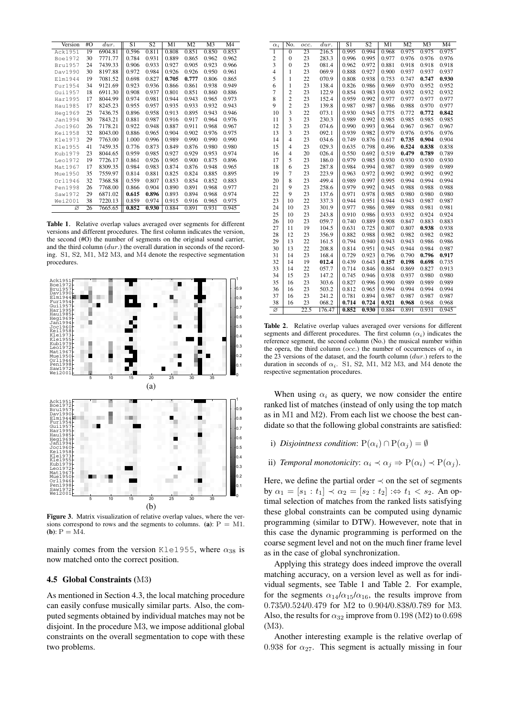| Version        | #O | dur.    | S1    | S <sub>2</sub> | M1    | M <sub>2</sub> | M <sub>3</sub> | M4    |
|----------------|----|---------|-------|----------------|-------|----------------|----------------|-------|
| Ack1951        | 19 | 6904.81 | 0.596 | 0.811          | 0.808 | 0.851          | 0.850          | 0.853 |
| Boe1972        | 30 | 7771.77 | 0.784 | 0.931          | 0.889 | 0.865          | 0.962          | 0.962 |
| <b>Bru1957</b> | 24 | 7439.33 | 0.906 | 0.933          | 0.927 | 0.905          | 0.923          | 0.966 |
| Dav1990        | 30 | 8197.88 | 0.972 | 0.984          | 0.926 | 0.926          | 0.950          | 0.961 |
| Elm1944        | 19 | 7081.52 | 0.698 | 0.827          | 0.705 | 0.777          | 0.806          | 0.865 |
| Fur1954        | 34 | 9121.69 | 0.923 | 0.936          | 0.866 | 0.861          | 0.938          | 0.949 |
| Gui1957        | 18 | 6911.30 | 0.908 | 0.937          | 0.801 | 0.851          | 0.860          | 0.886 |
| Har1995        | 17 | 8044.99 | 0.974 | 0.981          | 0.944 | 0.943          | 0.965          | 0.973 |
| Hau1985        | 17 | 8245.23 | 0.955 | 0.957          | 0.935 | 0.933          | 0.932          | 0.943 |
| Heg1969        | 25 | 7436.75 | 0.896 | 0.958          | 0.913 | 0.895          | 0.943          | 0.946 |
| Jan1994        | 30 | 7843.21 | 0.881 | 0.987          | 0.916 | 0.917          | 0.964          | 0.976 |
| Joc1960        | 26 | 7178.21 | 0.922 | 0.948          | 0.887 | 0.911          | 0.968          | 0.967 |
| <b>Kei1958</b> | 32 | 8043.00 | 0.886 | 0.965          | 0.904 | 0.902          | 0.976          | 0.975 |
| Kle1973        | 29 | 7763.00 | 1.000 | 0.996          | 0.989 | 0.990          | 0.990          | 0.990 |
| Kle1955        | 41 | 7459.35 | 0.776 | 0.873          | 0.849 | 0.876          | 0.980          | 0.980 |
| Kub1979        | 23 | 8044.65 | 0.959 | 0.985          | 0.927 | 0.929          | 0.953          | 0.974 |
| Leo1972        | 19 | 7726.17 | 0.861 | 0.926          | 0.905 | 0.900          | 0.875          | 0.896 |
| Mat1967        | 17 | 8309.35 | 0.984 | 0.983          | 0.874 | 0.876          | 0.948          | 0.965 |
| Mue1950        | 35 | 7559.97 | 0.814 | 0.881          | 0.825 | 0.824          | 0.885          | 0.895 |
| Or11946        | 32 | 7368.58 | 0.559 | 0.807          | 0.853 | 0.854          | 0.852          | 0.883 |
| Pen1998        | 26 | 7768.00 | 0.866 | 0.904          | 0.890 | 0.891          | 0.968          | 0.977 |
| Saw1972        | 29 | 6871.02 | 0.615 | 0.896          | 0.893 | 0.894          | 0.968          | 0.974 |
| Wei2001        | 38 | 7220.13 | 0.859 | 0.974          | 0.915 | 0.916          | 0.965          | 0.975 |
| Ø              | 26 | 7665.65 | 0.852 | 0.930          | 0.884 | 0.891          | 0.931          | 0.945 |

Table 1. Relative overlap values averaged over segments for different versions and different procedures. The first column indicates the version, the second (#O) the number of segments on the original sound carrier, and the third column  $dur.$ ) the overall duration in seconds of the recording. S1, S2, M1, M2 M3, and M4 denote the respective segmentation procedures.



Figure 3. Matrix visualization of relative overlap values, where the versions correspond to rows and the segments to columns. (a):  $P = M1$ .  $(b)$ : P = M4.

mainly comes from the version Kle1955, where  $\alpha_{38}$  is now matched onto the correct position.

#### 4.5 Global Constraints (M3)

As mentioned in Section 4.3, the local matching procedure can easily confuse musically similar parts. Also, the computed segments obtained by individual matches may not be disjoint. In the procedure M3, we impose additional global constraints on the overall segmentation to cope with these two problems.

| $\alpha_i$     | No.                     | occ.            | dur.   | $\overline{S1}$ | S <sub>2</sub> | M1    | M <sub>2</sub> | M <sub>3</sub> | $\overline{M4}$ |
|----------------|-------------------------|-----------------|--------|-----------------|----------------|-------|----------------|----------------|-----------------|
| 1              | $\overline{0}$          | $\overline{23}$ | 216.5  | 0.995           | 0.994          | 0.968 | 0.975          | 0.975          | 0.975           |
| $\overline{c}$ | $\overline{0}$          | 23              | 283.3  | 0.996           | 0.995          | 0.977 | 0.976          | 0.976          | 0.976           |
| 3              | $\overline{0}$          | 23              | 081.4  | 0.962           | 0.972          | 0.881 | 0.918          | 0.918          | 0.918           |
| $\overline{4}$ | $\mathbf{1}$            | 23              | 069.9  | 0.888           | 0.927          | 0.900 | 0.937          | 0.937          | 0.937           |
| 5              | $\mathbf{1}$            | 22              | 070.9  | 0.808           | 0.938          | 0.753 | 0.747          | 0.747          | 0.930           |
| 6              | $\mathbf{1}$            | 23              | 138.4  | 0.826           | 0.986          | 0.969 | 0.970          | 0.952          | 0.952           |
| $\overline{7}$ | $\overline{c}$          | 23              | 122.9  | 0.854           | 0.983          | 0.930 | 0.932          | 0.932          | 0.932           |
| 8              | $\overline{c}$          | 23              | 152.4  | 0.959           | 0.992          | 0.977 | 0.977          | 0.977          | 0.977           |
| 9              | $\overline{c}$          | 23              | 139.8  | 0.987           | 0.987          | 0.986 | 0.988          | 0.970          | 0.977           |
| 10             | 3                       | 22              | 073.1  | 0.930           | 0.945          | 0.775 | 0.772          | 0.772          | 0.842           |
| 11             | 3                       | 23              | 230.3  | 0.989           | 0.992          | 0.985 | 0.985          | 0.985          | 0.985           |
| 12             | $\overline{\mathbf{3}}$ | 23              | 074.6  | 0.990           | 0.993          | 0.964 | 0.967          | 0.967          | 0.967           |
| 13             | $\overline{\mathbf{3}}$ | 23              | 092.1  | 0.939           | 0.982          | 0.979 | 0.976          | 0.976          | 0.976           |
| 14             | $\overline{4}$          | 23              | 034.6  | 0.749           | 0.876          | 0.617 | 0.735          | 0.904          | 0.904           |
| 15             | $\overline{4}$          | 23              | 029.3  | 0.635           | 0.798          | 0.496 | 0.524          | 0.838          | 0.838           |
| 16             | $\overline{\mathbf{4}}$ | 20              | 026.4  | 0.550           | 0.692          | 0.519 | 0.479          | 0.789          | 0.789           |
| 17             | 5                       | 23              | 186.0  | 0.979           | 0.985          | 0.930 | 0.930          | 0.930          | 0.930           |
| 18             | 6                       | 23              | 287.8  | 0.984           | 0.994          | 0.987 | 0.989          | 0.989          | 0.989           |
| 19             | 7                       | 23              | 223.9  | 0.963           | 0.972          | 0.992 | 0.992          | 0.992          | 0.992           |
| 20             | 8                       | 23              | 499.4  | 0.989           | 0.997          | 0.995 | 0.994          | 0.994          | 0.994           |
| 21             | 9                       | 23              | 258.6  | 0.979           | 0.992          | 0.945 | 0.988          | 0.988          | 0.988           |
| 22             | 9                       | 23              | 137.6  | 0.971           | 0.978          | 0.985 | 0.980          | 0.980          | 0.980           |
| 23             | 10                      | 22              | 337.3  | 0.944           | 0.951          | 0.944 | 0.943          | 0.987          | 0.987           |
| 24             | 10                      | 23              | 301.9  | 0.977           | 0.986          | 0.989 | 0.988          | 0.981          | 0.981           |
| 25             | 10                      | 23              | 243.8  | 0.910           | 0.986          | 0.933 | 0.932          | 0.924          | 0.924           |
| 26             | 10                      | 23              | 059.7  | 0.740           | 0.889          | 0.908 | 0.847          | 0.883          | 0.883           |
| 27             | 11                      | 19              | 104.5  | 0.631           | 0.725          | 0.807 | 0.807          | 0.938          | 0.938           |
| 28             | 12                      | 23              | 356.9  | 0.882           | 0.988          | 0.982 | 0.982          | 0.982          | 0.982           |
| 29             | 13                      | 22              | 161.5  | 0.794           | 0.940          | 0.943 | 0.943          | 0.986          | 0.986           |
| 30             | 13                      | 22              | 208.8  | 0.814           | 0.951          | 0.945 | 0.944          | 0.984          | 0.987           |
| 31             | 14                      | 23              | 168.4  | 0.729           | 0.923          | 0.796 | 0.790          | 0.796          | 0.917           |
| 32             | 14                      | 19              | 012.4  | 0.439           | 0.643          | 0.157 | 0.198          | 0.698          | 0.735           |
| 33             | 14                      | 22              | 057.7  | 0.714           | 0.846          | 0.864 | 0.869          | 0.827          | 0.913           |
| 34             | 15                      | 23              | 147.2  | 0.745           | 0.946          | 0.938 | 0.937          | 0.980          | 0.980           |
| 35             | 16                      | 23              | 303.6  | 0.827           | 0.996          | 0.990 | 0.989          | 0.989          | 0.989           |
| 36             | 16                      | 23              | 503.2  | 0.812           | 0.965          | 0.994 | 0.994          | 0.994          | 0.994           |
| 37             | 16                      | 23              | 241.2  | 0.781           | 0.894          | 0.987 | 0.987          | 0.987          | 0.987           |
| 38             | 16                      | 23              | 068.2  | 0.714           | 0.724          | 0.921 | 0.968          | 0.968          | 0.968           |
| ø              |                         | 22.5            | 176.47 | 0.852           | 0.930          | 0.884 | 0.891          | 0.931          | 0.945           |
|                |                         |                 |        |                 |                |       |                |                |                 |

Table 2. Relative overlap values averaged over versions for different segments and different procedures. The first column  $(\alpha_i)$  indicates the reference segment, the second column (No.) the musical number within the opera, the third column (occ.) the number of occurrences of  $\alpha_i$  in the 23 versions of the dataset, and the fourth column  $(dur.)$  refers to the duration in seconds of  $\alpha_i$ . S1, S2, M1, M2 M3, and M4 denote the respective segmentation procedures.

When using  $\alpha_i$  as query, we now consider the entire ranked list of matches (instead of only using the top match as in M1 and M2). From each list we choose the best candidate so that the following global constraints are satisfied:

- i) *Disjointness condition*:  $P(\alpha_i) \cap P(\alpha_j) = \emptyset$
- ii) *Temporal monotonicity*:  $\alpha_i \prec \alpha_j \Rightarrow P(\alpha_i) \prec P(\alpha_j)$ .

Here, we define the partial order  $\prec$  on the set of segments by  $\alpha_1 = [s_1 : t_1] \prec \alpha_2 = [s_2 : t_2] \Rightarrow t_1 < s_2$ . An optimal selection of matches from the ranked lists satisfying these global constraints can be computed using dynamic programming (similar to DTW). Howevever, note that in this case the dynamic programming is performed on the coarse segment level and not on the much finer frame level as in the case of global synchronization.

Applying this strategy does indeed improve the overall matching accuracy, on a version level as well as for individual segments, see Table 1 and Table 2. For example, for the segments  $\alpha_{14}/\alpha_{15}/\alpha_{16}$ , the results improve from 0.735/0.524/0.479 for M2 to 0.904/0.838/0.789 for M3. Also, the results for  $\alpha_{32}$  improve from 0.198 (M2) to 0.698 (M3).

Another interesting example is the relative overlap of 0.938 for  $\alpha_{27}$ . This segment is actually missing in four